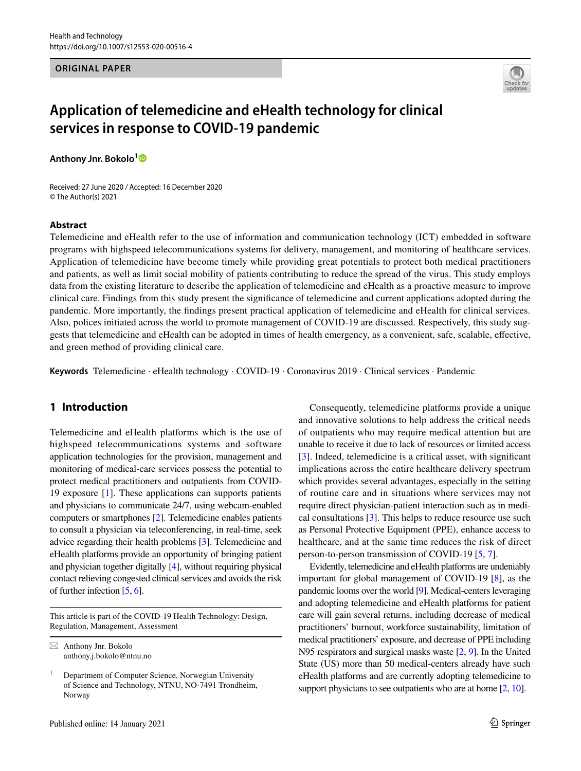## **ORIGINAL PAPER**



# **Application of telemedicine and eHealth technology for clinical services in response to COVID‑19 pandemic**

**Anthony Jnr. Bokolo[1](http://orcid.org/0000-0002-7276-0258)**

Received: 27 June 2020 / Accepted: 16 December 2020 © The Author(s) 2021

#### **Abstract**

Telemedicine and eHealth refer to the use of information and communication technology (ICT) embedded in software programs with highspeed telecommunications systems for delivery, management, and monitoring of healthcare services. Application of telemedicine have become timely while providing great potentials to protect both medical practitioners and patients, as well as limit social mobility of patients contributing to reduce the spread of the virus. This study employs data from the existing literature to describe the application of telemedicine and eHealth as a proactive measure to improve clinical care. Findings from this study present the signifcance of telemedicine and current applications adopted during the pandemic. More importantly, the fndings present practical application of telemedicine and eHealth for clinical services. Also, polices initiated across the world to promote management of COVID-19 are discussed. Respectively, this study suggests that telemedicine and eHealth can be adopted in times of health emergency, as a convenient, safe, scalable, efective, and green method of providing clinical care.

**Keywords** Telemedicine · eHealth technology · COVID-19 · Coronavirus 2019 · Clinical services · Pandemic

# **1 Introduction**

Telemedicine and eHealth platforms which is the use of highspeed telecommunications systems and software application technologies for the provision, management and monitoring of medical-care services possess the potential to protect medical practitioners and outpatients from COVID-19 exposure [[1\]](#page-6-0). These applications can supports patients and physicians to communicate 24/7, using webcam-enabled computers or smartphones [[2](#page-6-1)]. Telemedicine enables patients to consult a physician via teleconferencing, in real-time, seek advice regarding their health problems [\[3\]](#page-6-2). Telemedicine and eHealth platforms provide an opportunity of bringing patient and physician together digitally [\[4\]](#page-6-3), without requiring physical contact relieving congested clinical services and avoids the risk of further infection [\[5,](#page-7-0) [6](#page-7-1)].

This article is part of the COVID-19 Health Technology: Design, Regulation, Management, Assessment

 $\boxtimes$  Anthony Jnr. Bokolo anthony.j.bokolo@ntnu.no

Consequently, telemedicine platforms provide a unique and innovative solutions to help address the critical needs of outpatients who may require medical attention but are unable to receive it due to lack of resources or limited access [\[3](#page-6-2)]. Indeed, telemedicine is a critical asset, with significant implications across the entire healthcare delivery spectrum which provides several advantages, especially in the setting of routine care and in situations where services may not require direct physician-patient interaction such as in medical consultations [[3\]](#page-6-2). This helps to reduce resource use such as Personal Protective Equipment (PPE), enhance access to healthcare, and at the same time reduces the risk of direct person-to-person transmission of COVID-19 [\[5](#page-7-0), [7](#page-7-2)].

Evidently, telemedicine and eHealth platforms are undeniably important for global management of COVID-19 [[8\]](#page-7-3), as the pandemic looms over the world [\[9](#page-7-4)]. Medical-centers leveraging and adopting telemedicine and eHealth platforms for patient care will gain several returns, including decrease of medical practitioners' burnout, workforce sustainability, limitation of medical practitioners' exposure, and decrease of PPE including N95 respirators and surgical masks waste [[2,](#page-6-1) [9](#page-7-4)]. In the United State (US) more than 50 medical-centers already have such eHealth platforms and are currently adopting telemedicine to support physicians to see outpatients who are at home [\[2](#page-6-1), [10](#page-7-5)].

<sup>1</sup> Department of Computer Science, Norwegian University of Science and Technology, NTNU, NO-7491 Trondheim, Norway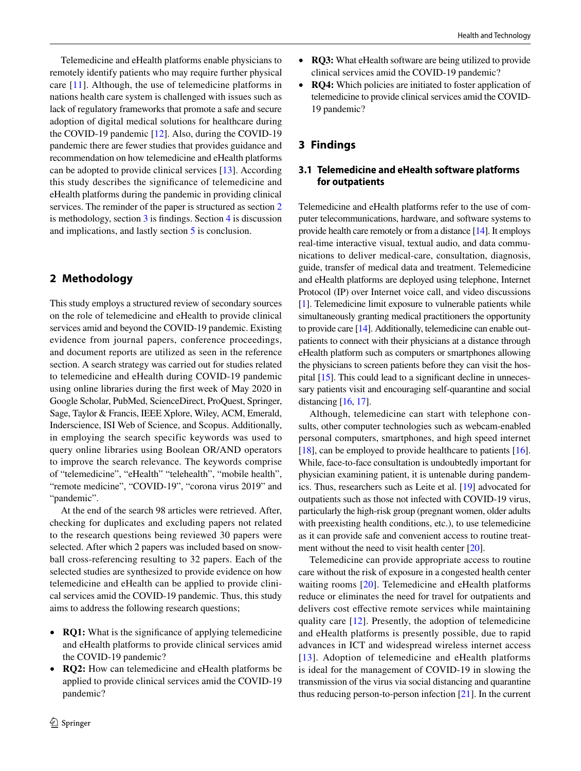Telemedicine and eHealth platforms enable physicians to remotely identify patients who may require further physical care [[11\]](#page-7-6). Although, the use of telemedicine platforms in nations health care system is challenged with issues such as lack of regulatory frameworks that promote a safe and secure adoption of digital medical solutions for healthcare during the COVID-19 pandemic [\[12](#page-7-7)]. Also, during the COVID-19 pandemic there are fewer studies that provides guidance and recommendation on how telemedicine and eHealth platforms can be adopted to provide clinical services [\[13](#page-7-8)]. According this study describes the signifcance of telemedicine and eHealth platforms during the pandemic in providing clinical services. The reminder of the paper is structured as section [2](#page-1-0) is methodology, section [3](#page-1-1) is fndings. Section [4](#page-1-2) is discussion and implications, and lastly section [5](#page-2-0) is conclusion.

# <span id="page-1-0"></span>**2 Methodology**

This study employs a structured review of secondary sources on the role of telemedicine and eHealth to provide clinical services amid and beyond the COVID-19 pandemic. Existing evidence from journal papers, conference proceedings, and document reports are utilized as seen in the reference section. A search strategy was carried out for studies related to telemedicine and eHealth during COVID-19 pandemic using online libraries during the frst week of May 2020 in Google Scholar, PubMed, ScienceDirect, ProQuest, Springer, Sage, Taylor & Francis, IEEE Xplore, Wiley, ACM, Emerald, Inderscience, ISI Web of Science, and Scopus. Additionally, in employing the search specific keywords was used to query online libraries using Boolean OR/AND operators to improve the search relevance. The keywords comprise of "telemedicine", "eHealth" "telehealth", "mobile health", "remote medicine", "COVID-19", "corona virus 2019" and "pandemic".

At the end of the search 98 articles were retrieved. After, checking for duplicates and excluding papers not related to the research questions being reviewed 30 papers were selected. After which 2 papers was included based on snowball cross-referencing resulting to 32 papers. Each of the selected studies are synthesized to provide evidence on how telemedicine and eHealth can be applied to provide clinical services amid the COVID-19 pandemic. Thus, this study aims to address the following research questions;

- **RQ1:** What is the signifcance of applying telemedicine and eHealth platforms to provide clinical services amid the COVID-19 pandemic?
- **RQ2:** How can telemedicine and eHealth platforms be applied to provide clinical services amid the COVID-19 pandemic?
- **RQ3:** What eHealth software are being utilized to provide clinical services amid the COVID-19 pandemic?
- **RQ4:** Which policies are initiated to foster application of telemedicine to provide clinical services amid the COVID-19 pandemic?

## <span id="page-1-1"></span>**3 Findings**

# <span id="page-1-2"></span>**3.1 Telemedicine and eHealth software platforms for outpatients**

Telemedicine and eHealth platforms refer to the use of computer telecommunications, hardware, and software systems to provide health care remotely or from a distance [[14](#page-7-9)]. It employs real-time interactive visual, textual audio, and data communications to deliver medical-care, consultation, diagnosis, guide, transfer of medical data and treatment. Telemedicine and eHealth platforms are deployed using telephone, Internet Protocol (IP) over Internet voice call, and video discussions [\[1](#page-6-0)]. Telemedicine limit exposure to vulnerable patients while simultaneously granting medical practitioners the opportunity to provide care [\[14\]](#page-7-9). Additionally, telemedicine can enable outpatients to connect with their physicians at a distance through eHealth platform such as computers or smartphones allowing the physicians to screen patients before they can visit the hospital [\[15\]](#page-7-10). This could lead to a signifcant decline in unnecessary patients visit and encouraging self-quarantine and social distancing [\[16,](#page-7-11) [17](#page-7-12)].

Although, telemedicine can start with telephone consults, other computer technologies such as webcam-enabled personal computers, smartphones, and high speed internet [\[18](#page-7-13)], can be employed to provide healthcare to patients [[16](#page-7-11)]. While, face-to-face consultation is undoubtedly important for physician examining patient, it is untenable during pandemics. Thus, researchers such as Leite et al. [\[19](#page-7-14)] advocated for outpatients such as those not infected with COVID-19 virus, particularly the high-risk group (pregnant women, older adults with preexisting health conditions, etc.), to use telemedicine as it can provide safe and convenient access to routine treat-ment without the need to visit health center [[20\]](#page-7-15).

Telemedicine can provide appropriate access to routine care without the risk of exposure in a congested health center waiting rooms [[20\]](#page-7-15). Telemedicine and eHealth platforms reduce or eliminates the need for travel for outpatients and delivers cost effective remote services while maintaining quality care [[12\]](#page-7-7). Presently, the adoption of telemedicine and eHealth platforms is presently possible, due to rapid advances in ICT and widespread wireless internet access [[13](#page-7-8)]. Adoption of telemedicine and eHealth platforms is ideal for the management of COVID-19 in slowing the transmission of the virus via social distancing and quarantine thus reducing person-to-person infection [[21\]](#page-7-16). In the current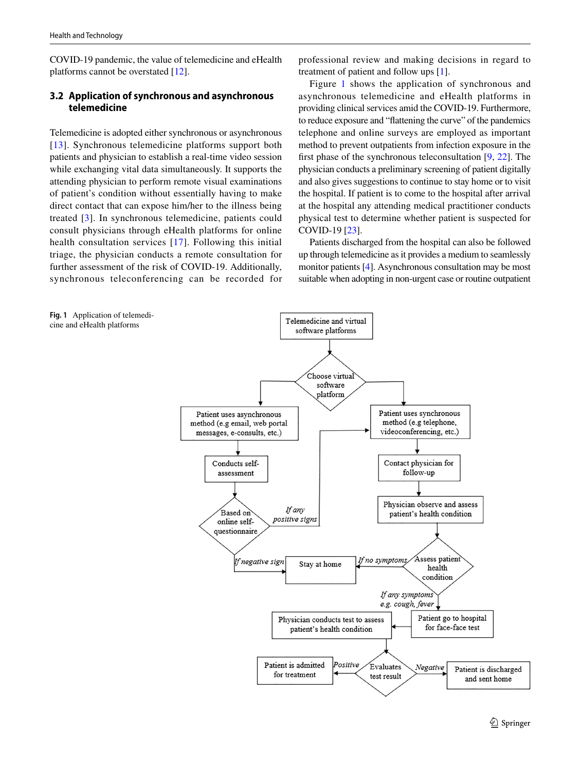COVID-19 pandemic, the value of telemedicine and eHealth platforms cannot be overstated [[12\]](#page-7-7).

## <span id="page-2-0"></span>**3.2 Application of synchronous and asynchronous telemedicine**

Telemedicine is adopted either synchronous or asynchronous [[13](#page-7-8)]. Synchronous telemedicine platforms support both patients and physician to establish a real-time video session while exchanging vital data simultaneously. It supports the attending physician to perform remote visual examinations of patient's condition without essentially having to make direct contact that can expose him/her to the illness being treated [[3\]](#page-6-2). In synchronous telemedicine, patients could consult physicians through eHealth platforms for online health consultation services [[17](#page-7-12)]. Following this initial triage, the physician conducts a remote consultation for further assessment of the risk of COVID-19. Additionally, synchronous teleconferencing can be recorded for

professional review and making decisions in regard to treatment of patient and follow ups [[1\]](#page-6-0).

Figure [1](#page-2-1) shows the application of synchronous and asynchronous telemedicine and eHealth platforms in providing clinical services amid the COVID-19. Furthermore, to reduce exposure and "fattening the curve" of the pandemics telephone and online surveys are employed as important method to prevent outpatients from infection exposure in the first phase of the synchronous teleconsultation  $[9, 22]$  $[9, 22]$  $[9, 22]$  $[9, 22]$  $[9, 22]$ . The physician conducts a preliminary screening of patient digitally and also gives suggestions to continue to stay home or to visit the hospital. If patient is to come to the hospital after arrival at the hospital any attending medical practitioner conducts physical test to determine whether patient is suspected for COVID-19 [\[23\]](#page-7-18).

Patients discharged from the hospital can also be followed up through telemedicine as it provides a medium to seamlessly monitor patients [[4](#page-6-3)]. Asynchronous consultation may be most suitable when adopting in non-urgent case or routine outpatient

<span id="page-2-1"></span>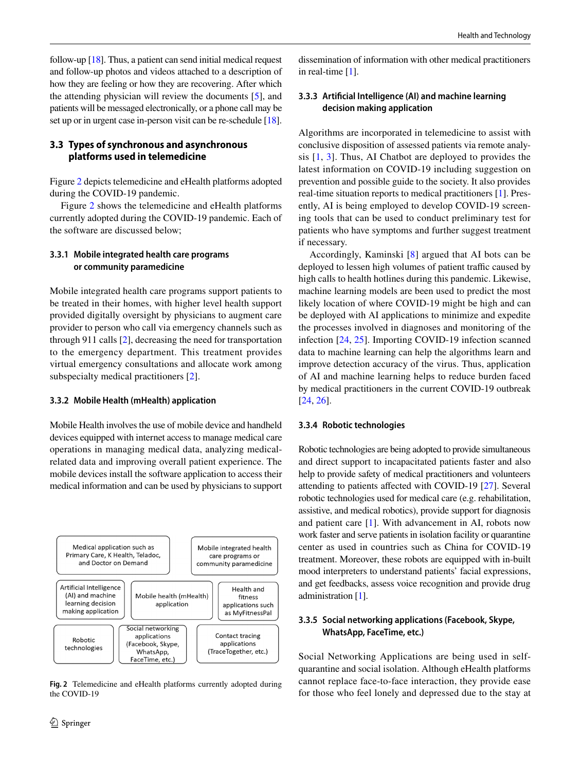follow-up [[18](#page-7-13)]. Thus, a patient can send initial medical request and follow-up photos and videos attached to a description of how they are feeling or how they are recovering. After which the attending physician will review the documents [[5\]](#page-7-0), and patients will be messaged electronically, or a phone call may be set up or in urgent case in-person visit can be re-schedule [[18](#page-7-13)].

## **3.3 Types of synchronous and asynchronous platforms used in telemedicine**

Figure [2](#page-3-0) depicts telemedicine and eHealth platforms adopted during the COVID-19 pandemic.

Figure [2](#page-3-0) shows the telemedicine and eHealth platforms currently adopted during the COVID-19 pandemic. Each of the software are discussed below;

## **3.3.1 Mobile integrated health care programs or community paramedicine**

Mobile integrated health care programs support patients to be treated in their homes, with higher level health support provided digitally oversight by physicians to augment care provider to person who call via emergency channels such as through 911 calls [[2\]](#page-6-1), decreasing the need for transportation to the emergency department. This treatment provides virtual emergency consultations and allocate work among subspecialty medical practitioners [\[2](#page-6-1)].

## **3.3.2 Mobile Health (mHealth) application**

Mobile Health involves the use of mobile device and handheld devices equipped with internet access to manage medical care operations in managing medical data, analyzing medicalrelated data and improving overall patient experience. The mobile devices install the software application to access their medical information and can be used by physicians to support



<span id="page-3-0"></span>**Fig. 2** Telemedicine and eHealth platforms currently adopted during the COVID-19

dissemination of information with other medical practitioners in real-time [\[1](#page-6-0)].

## **3.3.3 Artifcial Intelligence (AI) and machine learning decision making application**

Algorithms are incorporated in telemedicine to assist with conclusive disposition of assessed patients via remote analysis [[1,](#page-6-0) [3\]](#page-6-2). Thus, AI Chatbot are deployed to provides the latest information on COVID-19 including suggestion on prevention and possible guide to the society. It also provides real-time situation reports to medical practitioners [[1\]](#page-6-0). Presently, AI is being employed to develop COVID-19 screening tools that can be used to conduct preliminary test for patients who have symptoms and further suggest treatment if necessary.

Accordingly, Kaminski [[8\]](#page-7-3) argued that AI bots can be deployed to lessen high volumes of patient traffic caused by high calls to health hotlines during this pandemic. Likewise, machine learning models are been used to predict the most likely location of where COVID-19 might be high and can be deployed with AI applications to minimize and expedite the processes involved in diagnoses and monitoring of the infection [[24](#page-7-19), [25](#page-7-20)]. Importing COVID-19 infection scanned data to machine learning can help the algorithms learn and improve detection accuracy of the virus. Thus, application of AI and machine learning helps to reduce burden faced by medical practitioners in the current COVID-19 outbreak [\[24](#page-7-19), [26](#page-7-21)].

## **3.3.4 Robotic technologies**

Robotic technologies are being adopted to provide simultaneous and direct support to incapacitated patients faster and also help to provide safety of medical practitioners and volunteers attending to patients afected with COVID-19 [\[27](#page-7-22)]. Several robotic technologies used for medical care (e.g. rehabilitation, assistive, and medical robotics), provide support for diagnosis and patient care [[1\]](#page-6-0). With advancement in AI, robots now work faster and serve patients in isolation facility or quarantine center as used in countries such as China for COVID-19 treatment. Moreover, these robots are equipped with in-built mood interpreters to understand patients' facial expressions, and get feedbacks, assess voice recognition and provide drug administration [\[1\]](#page-6-0).

## **3.3.5 Social networking applications (Facebook, Skype, WhatsApp, FaceTime, etc.)**

Social Networking Applications are being used in selfquarantine and social isolation. Although eHealth platforms cannot replace face-to-face interaction, they provide ease for those who feel lonely and depressed due to the stay at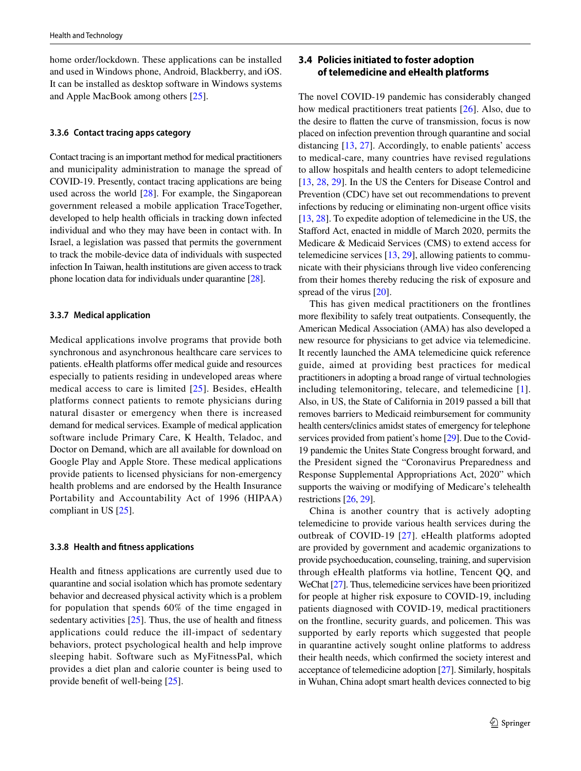home order/lockdown. These applications can be installed and used in Windows phone, Android, Blackberry, and iOS. It can be installed as desktop software in Windows systems and Apple MacBook among others [[25\]](#page-7-20).

#### **3.3.6 Contact tracing apps category**

Contact tracing is an important method for medical practitioners and municipality administration to manage the spread of COVID-19. Presently, contact tracing applications are being used across the world [[28](#page-7-23)]. For example, the Singaporean government released a mobile application TraceTogether, developed to help health officials in tracking down infected individual and who they may have been in contact with. In Israel, a legislation was passed that permits the government to track the mobile-device data of individuals with suspected infection In Taiwan, health institutions are given access to track phone location data for individuals under quarantine [\[28\]](#page-7-23).

#### **3.3.7 Medical application**

Medical applications involve programs that provide both synchronous and asynchronous healthcare care services to patients. eHealth platforms offer medical guide and resources especially to patients residing in undeveloped areas where medical access to care is limited [[25](#page-7-20)]. Besides, eHealth platforms connect patients to remote physicians during natural disaster or emergency when there is increased demand for medical services. Example of medical application software include Primary Care, K Health, Teladoc, and Doctor on Demand, which are all available for download on Google Play and Apple Store. These medical applications provide patients to licensed physicians for non-emergency health problems and are endorsed by the Health Insurance Portability and Accountability Act of 1996 (HIPAA) compliant in US [\[25](#page-7-20)].

#### **3.3.8 Health and ftness applications**

Health and ftness applications are currently used due to quarantine and social isolation which has promote sedentary behavior and decreased physical activity which is a problem for population that spends 60% of the time engaged in sedentary activities [\[25](#page-7-20)]. Thus, the use of health and fitness applications could reduce the ill-impact of sedentary behaviors, protect psychological health and help improve sleeping habit. Software such as MyFitnessPal, which provides a diet plan and calorie counter is being used to provide beneft of well-being [\[25](#page-7-20)].

# <span id="page-4-0"></span>**3.4 Policies initiated to foster adoption of telemedicine and eHealth platforms**

The novel COVID-19 pandemic has considerably changed how medical practitioners treat patients [[26](#page-7-21)]. Also, due to the desire to fatten the curve of transmission, focus is now placed on infection prevention through quarantine and social distancing [[13,](#page-7-8) [27\]](#page-7-22). Accordingly, to enable patients' access to medical-care, many countries have revised regulations to allow hospitals and health centers to adopt telemedicine [\[13](#page-7-8), [28,](#page-7-23) [29\]](#page-7-24). In the US the Centers for Disease Control and Prevention (CDC) have set out recommendations to prevent infections by reducing or eliminating non-urgent office visits [\[13](#page-7-8), [28\]](#page-7-23). To expedite adoption of telemedicine in the US, the Stafford Act, enacted in middle of March 2020, permits the Medicare & Medicaid Services (CMS) to extend access for telemedicine services [[13,](#page-7-8) [29](#page-7-24)], allowing patients to communicate with their physicians through live video conferencing from their homes thereby reducing the risk of exposure and spread of the virus [[20\]](#page-7-15).

This has given medical practitioners on the frontlines more fexibility to safely treat outpatients. Consequently, the American Medical Association (AMA) has also developed a new resource for physicians to get advice via telemedicine. It recently launched the AMA telemedicine quick reference guide, aimed at providing best practices for medical practitioners in adopting a broad range of virtual technologies including telemonitoring, telecare, and telemedicine [\[1](#page-6-0)]. Also, in US, the State of California in 2019 passed a bill that removes barriers to Medicaid reimbursement for community health centers/clinics amidst states of emergency for telephone services provided from patient's home [\[29\]](#page-7-24). Due to the Covid-19 pandemic the Unites State Congress brought forward, and the President signed the "Coronavirus Preparedness and Response Supplemental Appropriations Act, 2020" which supports the waiving or modifying of Medicare's telehealth restrictions [\[26,](#page-7-21) [29](#page-7-24)].

China is another country that is actively adopting telemedicine to provide various health services during the outbreak of COVID-19 [[27](#page-7-22)]. eHealth platforms adopted are provided by government and academic organizations to provide psychoeducation, counseling, training, and supervision through eHealth platforms via hotline, Tencent QQ, and WeChat [\[27\]](#page-7-22). Thus, telemedicine services have been prioritized for people at higher risk exposure to COVID-19, including patients diagnosed with COVID-19, medical practitioners on the frontline, security guards, and policemen. This was supported by early reports which suggested that people in quarantine actively sought online platforms to address their health needs, which confrmed the society interest and acceptance of telemedicine adoption [\[27](#page-7-22)]. Similarly, hospitals in Wuhan, China adopt smart health devices connected to big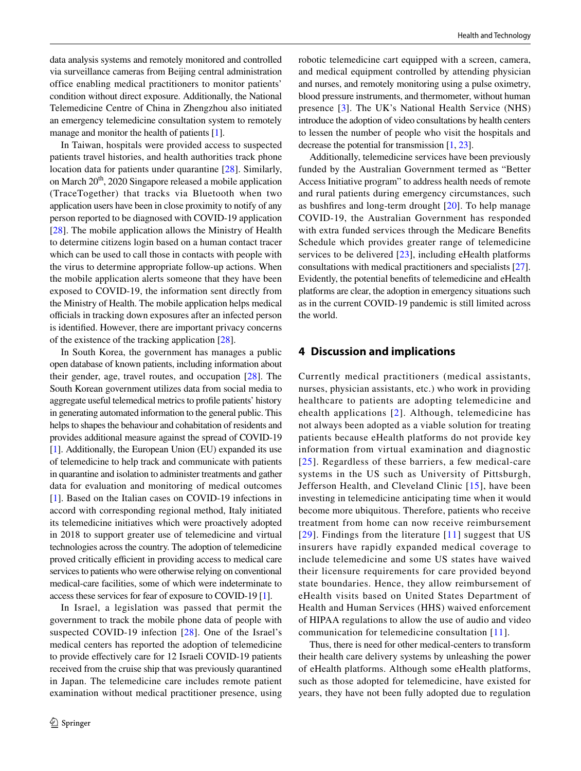data analysis systems and remotely monitored and controlled via surveillance cameras from Beijing central administration office enabling medical practitioners to monitor patients' condition without direct exposure. Additionally, the National Telemedicine Centre of China in Zhengzhou also initiated an emergency telemedicine consultation system to remotely manage and monitor the health of patients [\[1\]](#page-6-0).

In Taiwan, hospitals were provided access to suspected patients travel histories, and health authorities track phone location data for patients under quarantine [[28\]](#page-7-23). Similarly, on March  $20<sup>th</sup>$ , 2020 Singapore released a mobile application (TraceTogether) that tracks via Bluetooth when two application users have been in close proximity to notify of any person reported to be diagnosed with COVID-19 application [\[28](#page-7-23)]. The mobile application allows the Ministry of Health to determine citizens login based on a human contact tracer which can be used to call those in contacts with people with the virus to determine appropriate follow-up actions. When the mobile application alerts someone that they have been exposed to COVID-19, the information sent directly from the Ministry of Health. The mobile application helps medical officials in tracking down exposures after an infected person is identifed. However, there are important privacy concerns of the existence of the tracking application [\[28](#page-7-23)].

In South Korea, the government has manages a public open database of known patients, including information about their gender, age, travel routes, and occupation [[28\]](#page-7-23). The South Korean government utilizes data from social media to aggregate useful telemedical metrics to profle patients' history in generating automated information to the general public. This helps to shapes the behaviour and cohabitation of residents and provides additional measure against the spread of COVID-19 [\[1](#page-6-0)]. Additionally, the European Union (EU) expanded its use of telemedicine to help track and communicate with patients in quarantine and isolation to administer treatments and gather data for evaluation and monitoring of medical outcomes [\[1](#page-6-0)]. Based on the Italian cases on COVID-19 infections in accord with corresponding regional method, Italy initiated its telemedicine initiatives which were proactively adopted in 2018 to support greater use of telemedicine and virtual technologies across the country. The adoption of telemedicine proved critically efficient in providing access to medical care services to patients who were otherwise relying on conventional medical-care facilities, some of which were indeterminate to access these services for fear of exposure to COVID-19 [\[1\]](#page-6-0).

In Israel, a legislation was passed that permit the government to track the mobile phone data of people with suspected COVID-19 infection [[28](#page-7-23)]. One of the Israel's medical centers has reported the adoption of telemedicine to provide efectively care for 12 Israeli COVID-19 patients received from the cruise ship that was previously quarantined in Japan. The telemedicine care includes remote patient examination without medical practitioner presence, using robotic telemedicine cart equipped with a screen, camera, and medical equipment controlled by attending physician and nurses, and remotely monitoring using a pulse oximetry, blood pressure instruments, and thermometer, without human presence [[3\]](#page-6-2). The UK's National Health Service (NHS) introduce the adoption of video consultations by health centers to lessen the number of people who visit the hospitals and decrease the potential for transmission [[1,](#page-6-0) [23](#page-7-18)].

Additionally, telemedicine services have been previously funded by the Australian Government termed as "Better Access Initiative program" to address health needs of remote and rural patients during emergency circumstances, such as bushfres and long-term drought [\[20\]](#page-7-15). To help manage COVID-19, the Australian Government has responded with extra funded services through the Medicare Benefts Schedule which provides greater range of telemedicine services to be delivered [[23\]](#page-7-18), including eHealth platforms consultations with medical practitioners and specialists [[27](#page-7-22)]. Evidently, the potential benefts of telemedicine and eHealth platforms are clear, the adoption in emergency situations such as in the current COVID-19 pandemic is still limited across the world.

## **4 Discussion and implications**

Currently medical practitioners (medical assistants, nurses, physician assistants, etc.) who work in providing healthcare to patients are adopting telemedicine and ehealth applications [[2\]](#page-6-1). Although, telemedicine has not always been adopted as a viable solution for treating patients because eHealth platforms do not provide key information from virtual examination and diagnostic [[25\]](#page-7-20). Regardless of these barriers, a few medical-care systems in the US such as University of Pittsburgh, Jefferson Health, and Cleveland Clinic [[15\]](#page-7-10), have been investing in telemedicine anticipating time when it would become more ubiquitous. Therefore, patients who receive treatment from home can now receive reimbursement [[29\]](#page-7-24). Findings from the literature [\[11](#page-7-6)] suggest that US insurers have rapidly expanded medical coverage to include telemedicine and some US states have waived their licensure requirements for care provided beyond state boundaries. Hence, they allow reimbursement of eHealth visits based on United States Department of Health and Human Services (HHS) waived enforcement of HIPAA regulations to allow the use of audio and video communication for telemedicine consultation [[11\]](#page-7-6).

Thus, there is need for other medical-centers to transform their health care delivery systems by unleashing the power of eHealth platforms. Although some eHealth platforms, such as those adopted for telemedicine, have existed for years, they have not been fully adopted due to regulation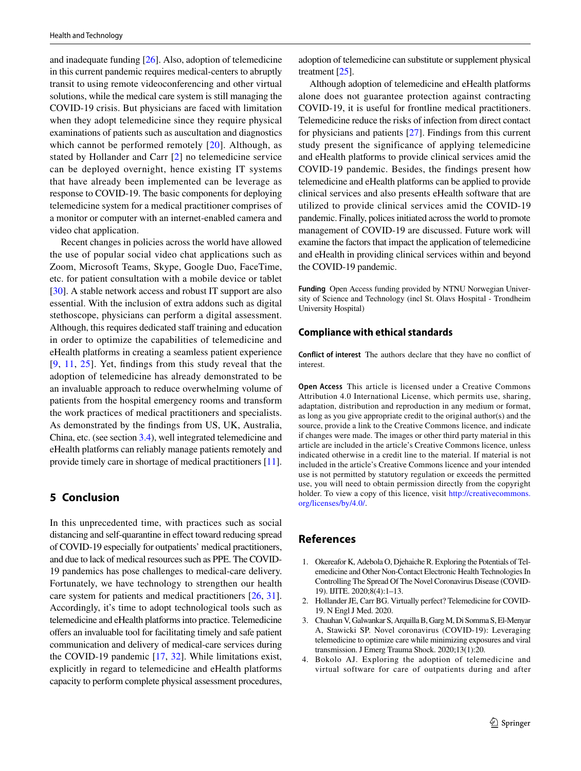and inadequate funding [\[26](#page-7-21)]. Also, adoption of telemedicine in this current pandemic requires medical-centers to abruptly transit to using remote videoconferencing and other virtual solutions, while the medical care system is still managing the COVID-19 crisis. But physicians are faced with limitation when they adopt telemedicine since they require physical examinations of patients such as auscultation and diagnostics which cannot be performed remotely [[20](#page-7-15)]. Although, as stated by Hollander and Carr [[2\]](#page-6-1) no telemedicine service can be deployed overnight, hence existing IT systems that have already been implemented can be leverage as response to COVID-19. The basic components for deploying telemedicine system for a medical practitioner comprises of a monitor or computer with an internet-enabled camera and video chat application.

Recent changes in policies across the world have allowed the use of popular social video chat applications such as Zoom, Microsoft Teams, Skype, Google Duo, FaceTime, etc. for patient consultation with a mobile device or tablet [\[30](#page-7-25)]. A stable network access and robust IT support are also essential. With the inclusion of extra addons such as digital stethoscope, physicians can perform a digital assessment. Although, this requires dedicated staff training and education in order to optimize the capabilities of telemedicine and eHealth platforms in creating a seamless patient experience [[9,](#page-7-4) [11](#page-7-6), [25\]](#page-7-20). Yet, fndings from this study reveal that the adoption of telemedicine has already demonstrated to be an invaluable approach to reduce overwhelming volume of patients from the hospital emergency rooms and transform the work practices of medical practitioners and specialists. As demonstrated by the fndings from US, UK, Australia, China, etc. (see section [3.4\)](#page-4-0), well integrated telemedicine and eHealth platforms can reliably manage patients remotely and provide timely care in shortage of medical practitioners [\[11](#page-7-6)].

## **5 Conclusion**

In this unprecedented time, with practices such as social distancing and self-quarantine in efect toward reducing spread of COVID-19 especially for outpatients' medical practitioners, and due to lack of medical resources such as PPE. The COVID-19 pandemics has pose challenges to medical-care delivery. Fortunately, we have technology to strengthen our health care system for patients and medical practitioners [[26,](#page-7-21) [31](#page-7-26)]. Accordingly, it's time to adopt technological tools such as telemedicine and eHealth platforms into practice. Telemedicine offers an invaluable tool for facilitating timely and safe patient communication and delivery of medical-care services during the COVID-19 pandemic [[17,](#page-7-12) [32](#page-7-27)]. While limitations exist, explicitly in regard to telemedicine and eHealth platforms capacity to perform complete physical assessment procedures,

adoption of telemedicine can substitute or supplement physical treatment [\[25\]](#page-7-20).

Although adoption of telemedicine and eHealth platforms alone does not guarantee protection against contracting COVID-19, it is useful for frontline medical practitioners. Telemedicine reduce the risks of infection from direct contact for physicians and patients [[27\]](#page-7-22). Findings from this current study present the significance of applying telemedicine and eHealth platforms to provide clinical services amid the COVID-19 pandemic. Besides, the findings present how telemedicine and eHealth platforms can be applied to provide clinical services and also presents eHealth software that are utilized to provide clinical services amid the COVID-19 pandemic. Finally, polices initiated across the world to promote management of COVID-19 are discussed. Future work will examine the factors that impact the application of telemedicine and eHealth in providing clinical services within and beyond the COVID-19 pandemic.

**Funding** Open Access funding provided by NTNU Norwegian University of Science and Technology (incl St. Olavs Hospital - Trondheim University Hospital)

#### **Compliance with ethical standards**

**Conflict of interest** The authors declare that they have no confict of interest.

**Open Access** This article is licensed under a Creative Commons Attribution 4.0 International License, which permits use, sharing, adaptation, distribution and reproduction in any medium or format, as long as you give appropriate credit to the original author(s) and the source, provide a link to the Creative Commons licence, and indicate if changes were made. The images or other third party material in this article are included in the article's Creative Commons licence, unless indicated otherwise in a credit line to the material. If material is not included in the article's Creative Commons licence and your intended use is not permitted by statutory regulation or exceeds the permitted use, you will need to obtain permission directly from the copyright holder. To view a copy of this licence, visit [http://creativecommons.](http://creativecommons.org/licenses/by/4.0/) [org/licenses/by/4.0/](http://creativecommons.org/licenses/by/4.0/).

## **References**

- <span id="page-6-0"></span>1. Okereafor K, Adebola O, Djehaiche R. Exploring the Potentials of Telemedicine and Other Non-Contact Electronic Health Technologies In Controlling The Spread Of The Novel Coronavirus Disease (COVID-19). IJITE. 2020;8(4):1–13.
- <span id="page-6-1"></span>2. Hollander JE, Carr BG. Virtually perfect? Telemedicine for COVID-19. N Engl J Med. 2020.
- <span id="page-6-2"></span>3. Chauhan V, Galwankar S, Arquilla B, Garg M, Di Somma S, El-Menyar A, Stawicki SP. Novel coronavirus (COVID-19): Leveraging telemedicine to optimize care while minimizing exposures and viral transmission. J Emerg Trauma Shock. 2020;13(1):20.
- <span id="page-6-3"></span>4. Bokolo AJ. Exploring the adoption of telemedicine and virtual software for care of outpatients during and after